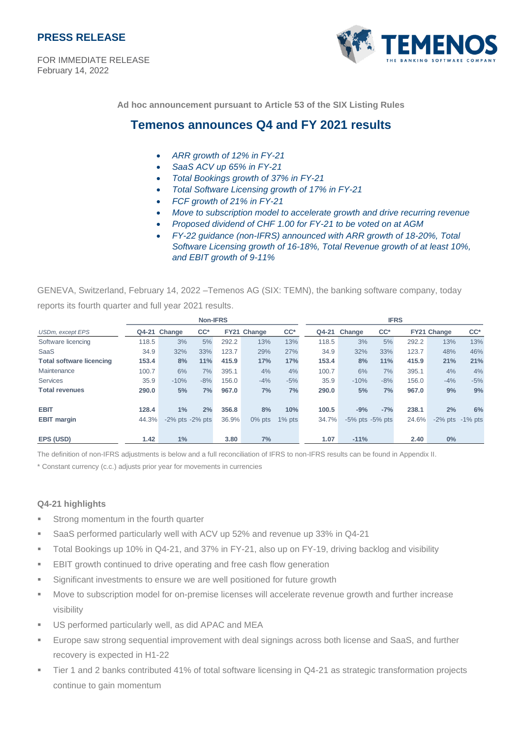

FOR IMMEDIATE RELEASE February 14, 2022



**Ad hoc announcement pursuant to Article 53 of the SIX Listing Rules**

# **Temenos announces Q4 and FY 2021 results**

- *ARR growth of 12% in FY-21*
- *SaaS ACV up 65% in FY-21*
- *Total Bookings growth of 37% in FY-21*
- *Total Software Licensing growth of 17% in FY-21*
- *FCF growth of 21% in FY-21*
- *Move to subscription model to accelerate growth and drive recurring revenue*
- *Proposed dividend of CHF 1.00 for FY-21 to be voted on at AGM*
- *FY-22 guidance (non-IFRS) announced with ARR growth of 18-20%, Total Software Licensing growth of 16-18%, Total Revenue growth of at least 10%, and EBIT growth of 9-11%*

GENEVA, Switzerland, February 14, 2022 –Temenos AG (SIX: TEMN), the banking software company, today

reports its fourth quarter and full year 2021 results.

|                                                                                                                                    |       | <b>Non-IFRS</b><br><b>IFRS</b> |        |       |             |           |       |                       |        |       |             |                       |
|------------------------------------------------------------------------------------------------------------------------------------|-------|--------------------------------|--------|-------|-------------|-----------|-------|-----------------------|--------|-------|-------------|-----------------------|
| <b>USDm, except EPS</b>                                                                                                            |       | Q4-21 Change                   | $CC^*$ |       | FY21 Change | $CC^*$    |       | Q4-21 Change          | $CC^*$ |       | FY21 Change | $CC^*$                |
| Software licencing                                                                                                                 | 118.5 | 3%                             | 5%     | 292.2 | 13%         | 13%       | 118.5 | 3%                    | 5%     | 292.2 | 13%         | 13%                   |
| <b>SaaS</b>                                                                                                                        | 34.9  | 32%                            | 33%    | 123.7 | 29%         | 27%       | 34.9  | 32%                   | 33%    | 123.7 | 48%         | 46%                   |
| <b>Total software licencing</b>                                                                                                    | 153.4 | 8%                             | 11%    | 415.9 | 17%         | 17%       | 153.4 | 8%                    | 11%    | 415.9 | 21%         | 21%                   |
| Maintenance                                                                                                                        | 100.7 | 6%                             | 7%     | 395.1 | 4%          | 4%        | 100.7 | 6%                    | 7%     | 395.1 | 4%          | 4%                    |
| <b>Services</b><br><b>Total revenues</b>                                                                                           | 35.9  | $-10%$                         | $-8%$  | 156.0 | $-4%$       | $-5%$     | 35.9  | $-10%$                | $-8%$  | 156.0 | $-4%$       | $-5%$                 |
|                                                                                                                                    | 290.0 | 5%                             | 7%     | 967.0 | 7%          | 7%        | 290.0 | 5%                    | 7%     | 967.0 | 9%          | 9%                    |
| <b>EBIT</b>                                                                                                                        | 128.4 | 1%                             | 2%     | 356.8 | 8%          | 10%       | 100.5 | $-9%$                 | $-7%$  | 238.1 | 2%          | 6%                    |
| <b>EBIT margin</b>                                                                                                                 | 44.3% | $-2\%$ pts $-2\%$ pts          |        | 36.9% | 0% pts      | $1\%$ pts | 34.7% | $-5\%$ pts $-5\%$ pts |        | 24.6% |             | $-2\%$ pts $-1\%$ pts |
| EPS (USD)                                                                                                                          | 1.42  | 1%                             |        | 3.80  | 7%          |           | 1.07  | $-11%$                |        | 2.40  | $0\%$       |                       |
| The definition of non-IFRS adjustments is below and a full reconciliation of IFRS to non-IFRS results can be found in Appendix II. |       |                                |        |       |             |           |       |                       |        |       |             |                       |
| * Constant currency (c.c.) adjusts prior year for movements in currencies                                                          |       |                                |        |       |             |           |       |                       |        |       |             |                       |
|                                                                                                                                    |       |                                |        |       |             |           |       |                       |        |       |             |                       |
|                                                                                                                                    |       |                                |        |       |             |           |       |                       |        |       |             |                       |
| Q4-21 highlights                                                                                                                   |       |                                |        |       |             |           |       |                       |        |       |             |                       |
| Strong momentum in the fourth quarter<br>ш                                                                                         |       |                                |        |       |             |           |       |                       |        |       |             |                       |
| SaaS performed particularly well with ACV up 52% and revenue up 33% in Q4-21<br>ш                                                  |       |                                |        |       |             |           |       |                       |        |       |             |                       |
| Total Bookings up 10% in Q4-21, and 37% in FY-21, also up on FY-19, driving backlog and visibility<br>ш                            |       |                                |        |       |             |           |       |                       |        |       |             |                       |
| EBIT growth continued to drive operating and free cash flow generation<br>ш                                                        |       |                                |        |       |             |           |       |                       |        |       |             |                       |
| Significant investments to ensure we are well positioned for future growth<br>ш                                                    |       |                                |        |       |             |           |       |                       |        |       |             |                       |
| Move to subscription model for on-premise licenses will accelerate revenue growth and further increase<br>ш                        |       |                                |        |       |             |           |       |                       |        |       |             |                       |
| visibility                                                                                                                         |       |                                |        |       |             |           |       |                       |        |       |             |                       |
|                                                                                                                                    |       |                                |        |       |             |           |       |                       |        |       |             |                       |
| US performed particularly well, as did APAC and MEA<br>ш                                                                           |       |                                |        |       |             |           |       |                       |        |       |             |                       |
| Europe saw strong sequential improvement with deal signings across both license and SaaS, and further<br>ш                         |       |                                |        |       |             |           |       |                       |        |       |             |                       |
| recovery is expected in H1-22                                                                                                      |       |                                |        |       |             |           |       |                       |        |       |             |                       |
| Tier 1 and 2 banks contributed 41% of total software licensing in Q4-21 as strategic transformation projects<br>ш                  |       |                                |        |       |             |           |       |                       |        |       |             |                       |
| continue to gain momentum                                                                                                          |       |                                |        |       |             |           |       |                       |        |       |             |                       |

#### **Q4-21 highlights**

- **EXECT:** Strong momentum in the fourth quarter
- SaaS performed particularly well with ACV up 52% and revenue up 33% in Q4-21
- Total Bookings up 10% in Q4-21, and 37% in FY-21, also up on FY-19, driving backlog and visibility
- EBIT growth continued to drive operating and free cash flow generation
- Significant investments to ensure we are well positioned for future growth
- Move to subscription model for on-premise licenses will accelerate revenue growth and further increase visibility
- US performed particularly well, as did APAC and MEA
- Europe saw strong sequential improvement with deal signings across both license and SaaS, and further recovery is expected in H1-22
- Tier 1 and 2 banks contributed 41% of total software licensing in Q4-21 as strategic transformation projects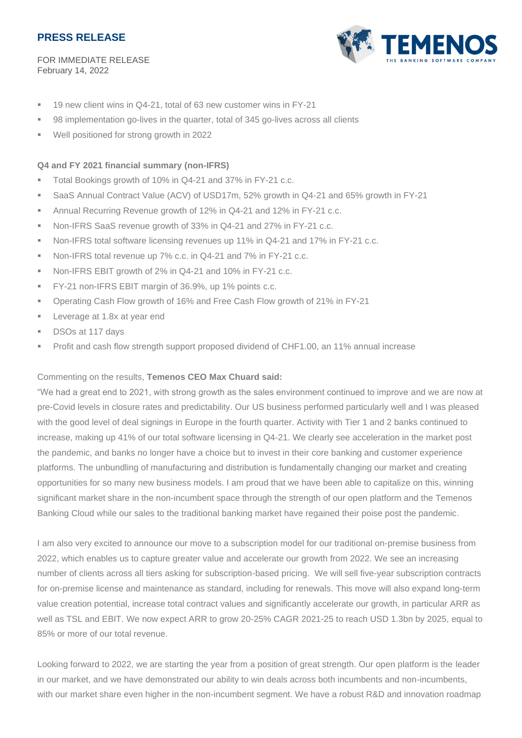FOR IMMEDIATE RELEASE February 14, 2022



- 19 new client wins in Q4-21, total of 63 new customer wins in FY-21
- 98 implementation go-lives in the quarter, total of 345 go-lives across all clients
- Well positioned for strong growth in 2022

### **Q4 and FY 2021 financial summary (non-IFRS)**

- Total Bookings growth of 10% in Q4-21 and 37% in FY-21 c.c.
- SaaS Annual Contract Value (ACV) of USD17m, 52% growth in Q4-21 and 65% growth in FY-21
- Annual Recurring Revenue growth of 12% in Q4-21 and 12% in FY-21 c.c.
- Non-IFRS SaaS revenue growth of 33% in Q4-21 and 27% in FY-21 c.c.
- Non-IFRS total software licensing revenues up 11% in Q4-21 and 17% in FY-21 c.c.
- Non-IFRS total revenue up 7% c.c. in Q4-21 and 7% in FY-21 c.c.
- Non-IFRS EBIT growth of 2% in Q4-21 and 10% in FY-21 c.c.
- FY-21 non-IFRS EBIT margin of 36.9%, up 1% points c.c.
- Operating Cash Flow growth of 16% and Free Cash Flow growth of 21% in FY-21
- **Exercise at 1.8x at year end**
- DSOs at 117 days
- Profit and cash flow strength support proposed dividend of CHF1.00, an 11% annual increase

### Commenting on the results, **Temenos CEO Max Chuard said:**

"We had a great end to 2021, with strong growth as the sales environment continued to improve and we are now at pre-Covid levels in closure rates and predictability. Our US business performed particularly well and I was pleased with the good level of deal signings in Europe in the fourth quarter. Activity with Tier 1 and 2 banks continued to increase, making up 41% of our total software licensing in Q4-21. We clearly see acceleration in the market post the pandemic, and banks no longer have a choice but to invest in their core banking and customer experience platforms. The unbundling of manufacturing and distribution is fundamentally changing our market and creating opportunities for so many new business models. I am proud that we have been able to capitalize on this, winning significant market share in the non-incumbent space through the strength of our open platform and the Temenos Banking Cloud while our sales to the traditional banking market have regained their poise post the pandemic.

I am also very excited to announce our move to a subscription model for our traditional on-premise business from 2022, which enables us to capture greater value and accelerate our growth from 2022. We see an increasing number of clients across all tiers asking for subscription-based pricing. We will sell five-year subscription contracts for on-premise license and maintenance as standard, including for renewals. This move will also expand long-term value creation potential, increase total contract values and significantly accelerate our growth, in particular ARR as well as TSL and EBIT. We now expect ARR to grow 20-25% CAGR 2021-25 to reach USD 1.3bn by 2025, equal to 85% or more of our total revenue.

Looking forward to 2022, we are starting the year from a position of great strength. Our open platform is the leader in our market, and we have demonstrated our ability to win deals across both incumbents and non-incumbents, with our market share even higher in the non-incumbent segment. We have a robust R&D and innovation roadmap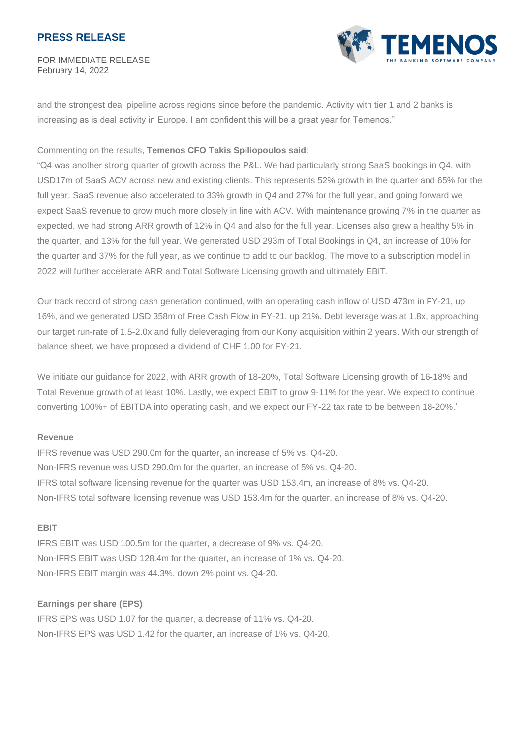FOR IMMEDIATE RELEASE February 14, 2022



and the strongest deal pipeline across regions since before the pandemic. Activity with tier 1 and 2 banks is increasing as is deal activity in Europe. I am confident this will be a great year for Temenos."

#### Commenting on the results, **Temenos CFO Takis Spiliopoulos said**:

"Q4 was another strong quarter of growth across the P&L. We had particularly strong SaaS bookings in Q4, with USD17m of SaaS ACV across new and existing clients. This represents 52% growth in the quarter and 65% for the full year. SaaS revenue also accelerated to 33% growth in Q4 and 27% for the full year, and going forward we expect SaaS revenue to grow much more closely in line with ACV. With maintenance growing 7% in the quarter as expected, we had strong ARR growth of 12% in Q4 and also for the full year. Licenses also grew a healthy 5% in the quarter, and 13% for the full year. We generated USD 293m of Total Bookings in Q4, an increase of 10% for the quarter and 37% for the full year, as we continue to add to our backlog. The move to a subscription model in 2022 will further accelerate ARR and Total Software Licensing growth and ultimately EBIT.

Our track record of strong cash generation continued, with an operating cash inflow of USD 473m in FY-21, up 16%, and we generated USD 358m of Free Cash Flow in FY-21, up 21%. Debt leverage was at 1.8x, approaching our target run-rate of 1.5-2.0x and fully deleveraging from our Kony acquisition within 2 years. With our strength of balance sheet, we have proposed a dividend of CHF 1.00 for FY-21.

We initiate our guidance for 2022, with ARR growth of 18-20%, Total Software Licensing growth of 16-18% and Total Revenue growth of at least 10%. Lastly, we expect EBIT to grow 9-11% for the year. We expect to continue converting 100%+ of EBITDA into operating cash, and we expect our FY-22 tax rate to be between 18-20%.'

#### **Revenue**

IFRS revenue was USD 290.0m for the quarter, an increase of 5% vs. Q4-20. Non-IFRS revenue was USD 290.0m for the quarter, an increase of 5% vs. Q4-20. IFRS total software licensing revenue for the quarter was USD 153.4m, an increase of 8% vs. Q4-20. Non-IFRS total software licensing revenue was USD 153.4m for the quarter, an increase of 8% vs. Q4-20.

#### **EBIT**

IFRS EBIT was USD 100.5m for the quarter, a decrease of 9% vs. Q4-20. Non-IFRS EBIT was USD 128.4m for the quarter, an increase of 1% vs. Q4-20. Non-IFRS EBIT margin was 44.3%, down 2% point vs. Q4-20.

#### **Earnings per share (EPS)**

IFRS EPS was USD 1.07 for the quarter, a decrease of 11% vs. Q4-20. Non-IFRS EPS was USD 1.42 for the quarter, an increase of 1% vs. Q4-20.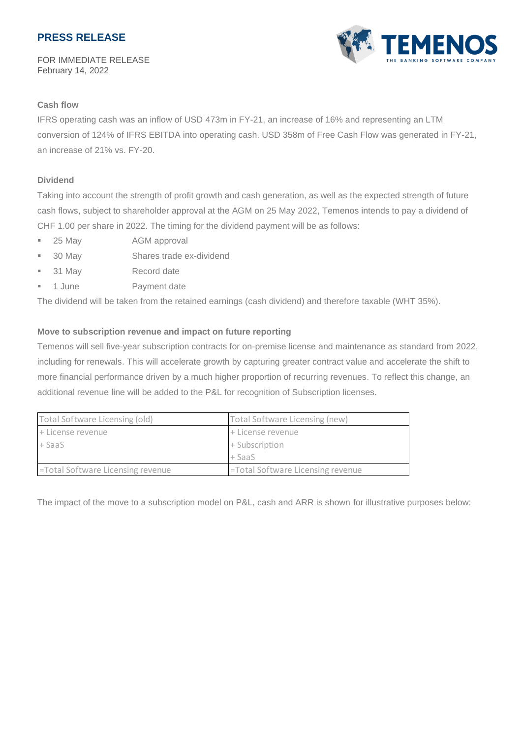FOR IMMEDIATE RELEASE February 14, 2022



### **Cash flow**

IFRS operating cash was an inflow of USD 473m in FY-21, an increase of 16% and representing an LTM conversion of 124% of IFRS EBITDA into operating cash. USD 358m of Free Cash Flow was generated in FY-21, an increase of 21% vs. FY-20.

### **Dividend**

Taking into account the strength of profit growth and cash generation, as well as the expected strength of future cash flows, subject to shareholder approval at the AGM on 25 May 2022, Temenos intends to pay a dividend of CHF 1.00 per share in 2022. The timing for the dividend payment will be as follows:

- 25 May AGM approval
- 30 May Shares trade ex-dividend
- 31 May Record date
- 1 June Payment date

The dividend will be taken from the retained earnings (cash dividend) and therefore taxable (WHT 35%).

### **Move to subscription revenue and impact on future reporting**

Temenos will sell five-year subscription contracts for on-premise license and maintenance as standard from 2022, including for renewals. This will accelerate growth by capturing greater contract value and accelerate the shift to more financial performance driven by a much higher proportion of recurring revenues. To reflect this change, an additional revenue line will be added to the P&L for recognition of Subscription licenses.

| Total Software Licensing (old)    | Total Software Licensing (new)    |
|-----------------------------------|-----------------------------------|
| + License revenue                 | + License revenue                 |
| l+ SaaS                           | + Subscription                    |
|                                   | l + SaaS                          |
| =Total Software Licensing revenue | =Total Software Licensing revenue |

The impact of the move to a subscription model on P&L, cash and ARR is shown for illustrative purposes below: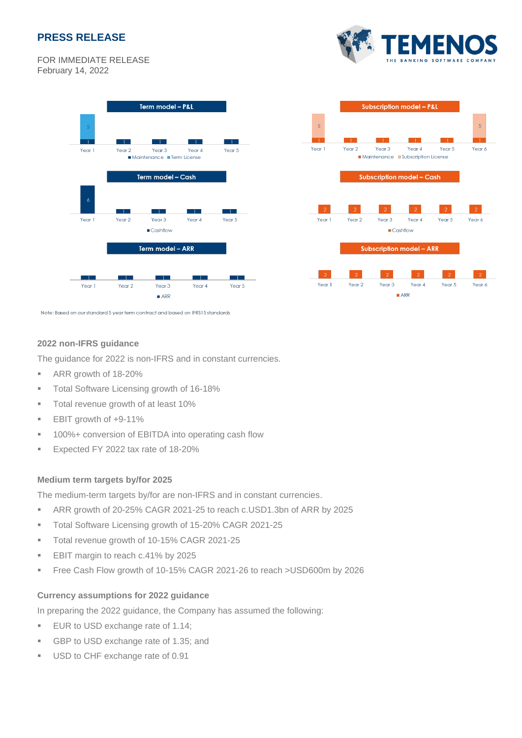**MEN** 

FOR IMMEDIATE RELEASE February 14, 2022





Note: Based on our standard 5 year term contract and based on IFRS15 standards

### **2022 non-IFRS guidance**

The guidance for 2022 is non-IFRS and in constant currencies.

- ARR growth of 18-20%
- Total Software Licensing growth of 16-18%
- Total revenue growth of at least 10%
- EBIT growth of +9-11%
- 100%+ conversion of EBITDA into operating cash flow
- **Expected FY 2022 tax rate of 18-20%**

#### **Medium term targets by/for 2025**

The medium-term targets by/for are non-IFRS and in constant currencies.

- ARR growth of 20-25% CAGR 2021-25 to reach c.USD1.3bn of ARR by 2025
- Total Software Licensing growth of 15-20% CAGR 2021-25
- Total revenue growth of 10-15% CAGR 2021-25
- EBIT margin to reach c.41% by 2025
- Free Cash Flow growth of 10-15% CAGR 2021-26 to reach >USD600m by 2026

### **Currency assumptions for 2022 guidance**

In preparing the 2022 guidance, the Company has assumed the following:

- **EUR to USD exchange rate of 1.14;**
- GBP to USD exchange rate of 1.35; and
- USD to CHF exchange rate of 0.91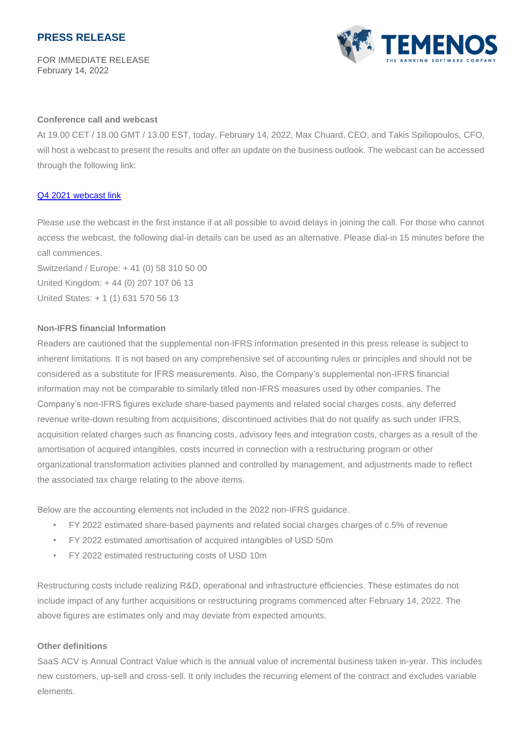FOR IMMEDIATE RELEASE February 14, 2022



#### **Conference call and webcast**

At 19.00 CET / 18.00 GMT / 13.00 EST, today, February 14, 2022, Max Chuard, CEO, and Takis Spiliopoulos, CFO, will host a webcast to present the results and offer an update on the business outlook. The webcast can be accessed through the following link:

#### Q4 2021 [webcast link](https://services.choruscall.com/mediaframe/webcast.html?webcastid=2ytDcMTF)

Please use the webcast in the first instance if at all possible to avoid delays in joining the call. For those who cannot access the webcast, the following dial-in details can be used as an alternative. Please dial-in 15 minutes before the call commences.

Switzerland / Europe: + 41 (0) 58 310 50 00 United Kingdom: + 44 (0) 207 107 06 13 United States: + 1 (1) 631 570 56 13

#### **Non-IFRS financial Information**

Readers are cautioned that the supplemental non-IFRS information presented in this press release is subject to inherent limitations. It is not based on any comprehensive set of accounting rules or principles and should not be considered as a substitute for IFRS measurements. Also, the Company's supplemental non-IFRS financial information may not be comparable to similarly titled non-IFRS measures used by other companies. The Company's non-IFRS figures exclude share-based payments and related social charges costs, any deferred revenue write-down resulting from acquisitions, discontinued activities that do not qualify as such under IFRS, acquisition related charges such as financing costs, advisory fees and integration costs, charges as a result of the amortisation of acquired intangibles, costs incurred in connection with a restructuring program or other organizational transformation activities planned and controlled by management, and adjustments made to reflect the associated tax charge relating to the above items.

Below are the accounting elements not included in the 2022 non-IFRS guidance.

- FY 2022 estimated share-based payments and related social charges charges of c.5% of revenue
- FY 2022 estimated amortisation of acquired intangibles of USD 50m
- FY 2022 estimated restructuring costs of USD 10m

Restructuring costs include realizing R&D, operational and infrastructure efficiencies. These estimates do not include impact of any further acquisitions or restructuring programs commenced after February 14, 2022. The above figures are estimates only and may deviate from expected amounts.

#### **Other definitions**

SaaS ACV is Annual Contract Value which is the annual value of incremental business taken in-year. This includes new customers, up-sell and cross-sell. It only includes the recurring element of the contract and excludes variable elements.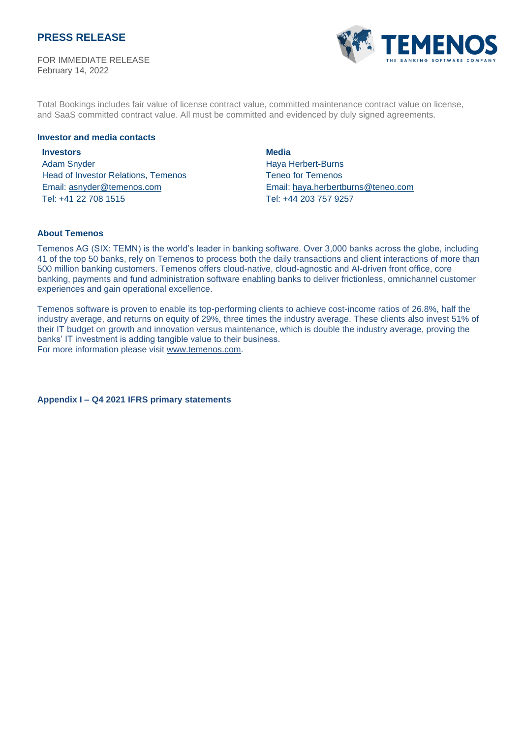FOR IMMEDIATE RELEASE February 14, 2022



Total Bookings includes fair value of license contract value, committed maintenance contract value on license, and SaaS committed contract value. All must be committed and evidenced by duly signed agreements.

#### **Investor and media contacts**

### **Investors** Adam Snyder Head of Investor Relations, Temenos Email: [asnyder@temenos.com](mailto:asnyder@temenos.com) Tel: +41 22 708 1515

**Media** Haya Herbert-Burns Teneo for Temenos Email: haya.herbertburns@teneo.com Tel: +44 203 757 9257

#### **About Temenos**

Temenos AG (SIX: TEMN) is the world's leader in banking software. Over 3,000 banks across the globe, including 41 of the top 50 banks, rely on Temenos to process both the daily transactions and client interactions of more than 500 million banking customers. Temenos offers cloud-native, cloud-agnostic and AI-driven front office, core banking, payments and fund administration software enabling banks to deliver frictionless, omnichannel customer experiences and gain operational excellence.

Temenos software is proven to enable its top-performing clients to achieve cost-income ratios of 26.8%, half the industry average, and returns on equity of 29%, three times the industry average. These clients also invest 51% of their IT budget on growth and innovation versus maintenance, which is double the industry average, proving the banks' IT investment is adding tangible value to their business. For more information please visit [www.temenos.com.](http://www.temenos.com/)

**Appendix I – Q4 2021 IFRS primary statements**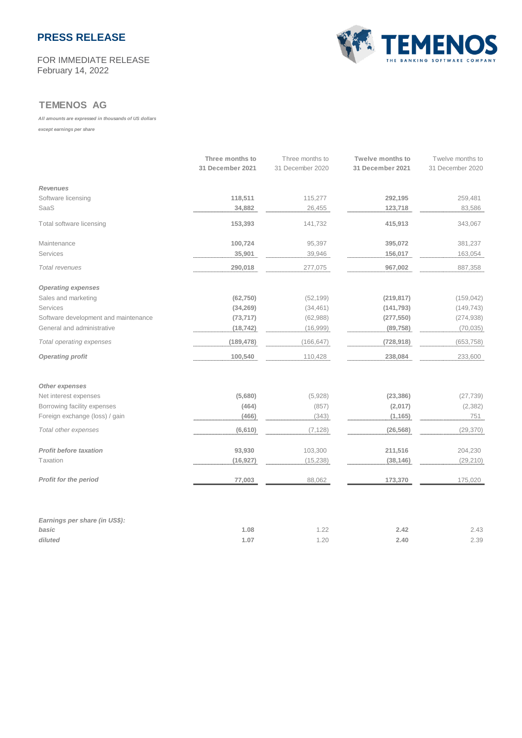#### FOR IMMEDIATE RELEASE February 14, 2022



### **TEMENOS AG**

#### *All amounts are expressed in thousands of US dollars*

*except earnings per share*

|                                      | Three months to<br>31 December 2021 | Three months to<br>31 December 2020 | <b>Twelve months to</b><br>31 December 2021 | Twelve months to<br>31 December 2020 |
|--------------------------------------|-------------------------------------|-------------------------------------|---------------------------------------------|--------------------------------------|
| <b>Revenues</b>                      |                                     |                                     |                                             |                                      |
| Software licensing                   | 118,511                             | 115,277                             | 292,195                                     | 259,481                              |
| SaaS                                 | 34,882                              | 26,455                              | 123,718                                     | 83,586                               |
| Total software licensing             | 153,393                             | 141,732                             | 415,913                                     | 343,067                              |
| Maintenance                          | 100,724                             | 95,397                              | 395,072                                     | 381,237                              |
| Services                             | 35,901                              | 39,946                              | 156,017                                     | 163,054                              |
| Total revenues                       | 290,018                             | 277,075                             | 967,002                                     | 887,358                              |
| <b>Operating expenses</b>            |                                     |                                     |                                             |                                      |
| Sales and marketing                  | (62, 750)                           | (52, 199)                           | (219, 817)                                  | (159, 042)                           |
| Services                             | (34, 269)                           | (34, 461)                           | (141, 793)                                  | (149, 743)                           |
| Software development and maintenance | (73, 717)                           | (62,988)                            | (277, 550)                                  | (274, 938)                           |
| General and administrative           | (18, 742)                           | (16,999)                            | (89, 758)                                   | (70, 035)                            |
| Total operating expenses             | (189, 478)                          | (166, 647)                          | (728, 918)                                  | (653, 758)                           |
| <b>Operating profit</b>              | 100,540                             | 110,428                             | 238,084                                     | 233,600                              |
| Other expenses                       |                                     |                                     |                                             |                                      |
| Net interest expenses                | (5,680)                             | (5,928)                             | (23, 386)                                   | (27, 739)                            |
| Borrowing facility expenses          | (464)                               | (857)                               | (2,017)                                     | (2, 382)                             |
| Foreign exchange (loss) / gain       | (466)                               | (343)                               | (1, 165)                                    | 751                                  |
| Total other expenses                 | (6,610)                             | (7, 128)                            | (26, 568)                                   | (29, 370)                            |
| <b>Profit before taxation</b>        | 93,930                              | 103,300                             | 211,516                                     | 204,230                              |
| Taxation                             | (16, 927)                           | (15, 238)                           | (38, 146)                                   | (29, 210)                            |
| Profit for the period                | 77,003                              | 88,062                              | 173,370                                     | 175,020                              |
| Earnings per share (in US\$):        |                                     |                                     |                                             |                                      |
| basic                                | 1.08                                | 1.22                                | 2.42                                        | 2.43                                 |
| diluted                              | 1.07                                | 1.20                                | 2.40                                        | 2.39                                 |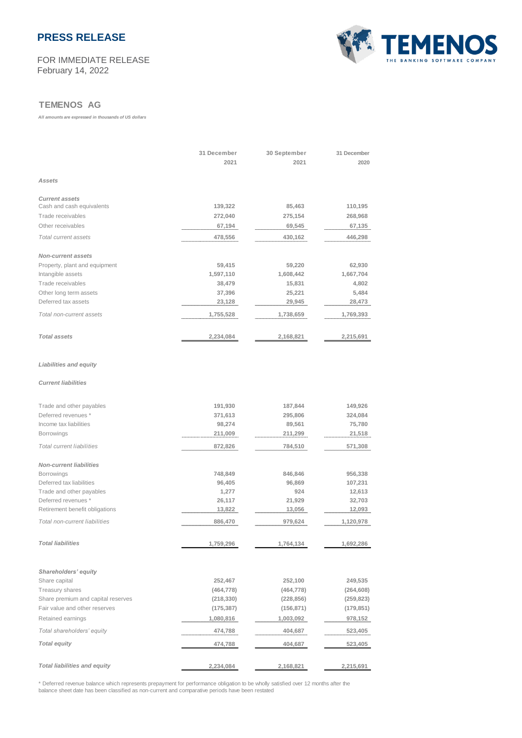#### FOR IMMEDIATE RELEASE February 14, 2022



### **TEMENOS AG**

*All amounts are expressed in thousands of US dollars*

|                                     | 31 December<br>2021 | 30 September<br>2021 | 31 December<br>2020 |
|-------------------------------------|---------------------|----------------------|---------------------|
| Assets                              |                     |                      |                     |
| <b>Current assets</b>               |                     |                      |                     |
| Cash and cash equivalents           | 139,322             | 85,463               | 110,195             |
| Trade receivables                   | 272,040             | 275,154              | 268,968             |
| Other receivables                   | 67,194              | 69,545               | 67,135              |
| Total current assets                | 478,556             | 430,162              | 446,298             |
| <b>Non-current assets</b>           |                     |                      |                     |
| Property, plant and equipment       | 59,415              | 59,220               | 62,930              |
| Intangible assets                   | 1,597,110           | 1,608,442            | 1,667,704           |
| Trade receivables                   | 38,479              | 15,831               | 4,802               |
| Other long term assets              | 37,396              | 25,221               | 5,484               |
| Deferred tax assets                 | 23,128              | 29,945               | 28,473              |
| Total non-current assets            | 1,755,528           | 1,738,659            | 1,769,393           |
| <b>Total assets</b>                 | 2,234,084           | 2,168,821            | 2,215,691           |
| <b>Liabilities and equity</b>       |                     |                      |                     |
| <b>Current liabilities</b>          |                     |                      |                     |
| Trade and other payables            | 191,930             | 187,844              | 149,926             |
| Deferred revenues *                 | 371,613             | 295,806              | 324,084             |
| Income tax liabilities              | 98,274              | 89,561               | 75,780              |
| <b>Borrowings</b>                   | 211,009             | 211,299              | 21,518              |
| <b>Total current liabilities</b>    | 872,826             | 784,510              | 571,308             |
| <b>Non-current liabilities</b>      |                     |                      |                     |
| <b>Borrowings</b>                   | 748,849             | 846,846              | 956,338             |
| Deferred tax liabilities            | 96,405              | 96,869               | 107,231             |
| Trade and other payables            | 1,277               | 924                  | 12,613              |
| Deferred revenues *                 | 26,117              | 21,929               | 32,703              |
| Retirement benefit obligations      | 13,822              | 13,056               | 12,093              |
| Total non-current liabilities       | 886,470             | 979,624              | 1,120,978           |
| <b>Total liabilities</b>            | 1,759,296           | 1,764,134            | 1,692,286           |
|                                     |                     |                      |                     |
| Shareholders' equity                |                     |                      |                     |
| Share capital                       | 252,467             | 252,100              | 249,535             |
| <b>Treasury shares</b>              | (464, 778)          | (464, 778)           | (264, 608)          |
| Share premium and capital reserves  | (218, 330)          | (228, 856)           | (259, 823)          |
| Fair value and other reserves       | (175, 387)          | (156, 871)           | (179,851)           |
| Retained earnings                   | 1,080,816           | 1,003,092            | 978,152             |
| Total shareholders' equity          | 474,788             | 404,687              | 523,405             |
| <b>Total equity</b>                 | 474,788             | 404,687              | 523,405             |
| <b>Total liabilities and equity</b> | 2,234,084           | 2,168,821            | 2,215,691           |

\* Deferred revenue balance which represents prepayment for performance obligation to be wholly satisfied over 12 months after the balance sheet date has been classified as non-current and comparative periods have been restated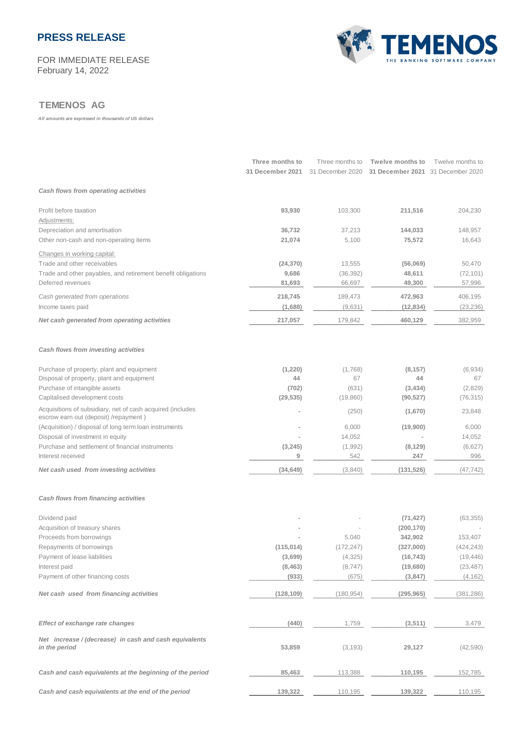FOR IMMEDIATE RELEASE February 14, 2022



### **TEMENOS AG**

*All amounts are expressed in thousands of US dollars*

|                                                                                                     | Three months to<br>31 December 2021 | Three months to<br>31 December 2020 | Twelve months to<br>31 December 2021 31 December 2020 | Twelve months to |
|-----------------------------------------------------------------------------------------------------|-------------------------------------|-------------------------------------|-------------------------------------------------------|------------------|
| Cash flows from operating activities                                                                |                                     |                                     |                                                       |                  |
| Profit before taxation<br>Adjustments:                                                              | 93,930                              | 103,300                             | 211,516                                               | 204,230          |
| Depreciation and amortisation                                                                       | 36,732                              | 37,213                              | 144,033                                               | 148,957          |
| Other non-cash and non-operating items                                                              | 21,074                              | 5,100                               | 75,572                                                | 16,643           |
| Changes in working capital:                                                                         |                                     |                                     |                                                       |                  |
| Trade and other receivables                                                                         | (24, 370)                           | 13,555                              | (56,069)                                              | 50,470           |
| Trade and other payables, and retirement benefit obligations                                        | 9,686                               | (36, 392)                           | 48,611                                                | (72, 101)        |
| Deferred revenues                                                                                   | 81,693                              | 66,697                              | 49,300                                                | 57,996           |
| Cash generated from operations                                                                      | 218,745                             | 189,473                             | 472,963                                               | 406,195          |
| Income taxes paid                                                                                   | (1,688)                             | (9,631)                             | (12, 834)                                             | (23, 236)        |
| Net cash generated from operating activities                                                        | 217,057                             | 179,842                             | 460,129                                               | 382,959          |
| Cash flows from investing activities                                                                |                                     |                                     |                                                       |                  |
| Purchase of property, plant and equipment                                                           | (1,220)                             | (1,768)                             | (8, 157)                                              | (6,934)          |
| Disposal of property, plant and equipment                                                           | 44                                  | 67                                  | 44                                                    | 67               |
| Purchase of intangible assets                                                                       | (702)                               | (631)                               | (3, 434)                                              | (2,829)          |
| Capitalised development costs                                                                       | (29, 535)                           | (19,860)                            | (90, 527)                                             | (76, 315)        |
| Acquisitions of subsidiary, net of cash acquired (includes<br>escrow earn out (deposit) /repayment) |                                     | (250)                               | (1,670)                                               | 23,848           |
| (Acquisition) / disposal of long term loan instruments                                              |                                     | 6,000                               | (19,900)                                              | 6,000            |
| Disposal of investment in equity                                                                    |                                     | 14,052                              |                                                       | 14,052           |
| Purchase and settlement of financial instruments                                                    | (3, 245)                            | (1,992)                             | (8, 129)                                              | (6,627)          |
| Interest received                                                                                   | 9                                   | 542                                 | 247                                                   | 996              |
| Net cash used from investing activities                                                             | (34, 649)                           | (3,840)                             | (131, 526)                                            | (47, 742)        |
| Cash flows from financing activities                                                                |                                     |                                     |                                                       |                  |
| Dividend paid                                                                                       |                                     |                                     | (71, 427)                                             | (63, 355)        |
| Acquisition of treasury shares                                                                      |                                     |                                     | (200, 170)                                            |                  |
| Proceeds from borrowings                                                                            |                                     | 5,040                               | 342,902                                               | 153,407          |
| Repayments of borrowings                                                                            | (115, 014)                          | (172, 247)                          | (327,000)                                             | (424, 243)       |
| Payment of lease liabilities                                                                        | (3,699)                             | (4, 325)                            | (16, 743)                                             | (19, 446)        |
| Interest paid<br>Payment of other financing costs                                                   | (8, 463)                            | (8,747)                             | (19,680)                                              | (23, 487)        |
|                                                                                                     | (933)                               | (675)                               | (3, 847)                                              | (4, 162)         |
| Net cash used from financing activities                                                             | (128, 109)                          | (180, 954)                          | (295, 965)                                            | (381, 286)       |
| <b>Effect of exchange rate changes</b>                                                              | (440)                               | 1,759                               | (3, 511)                                              | 3,479            |
|                                                                                                     |                                     |                                     |                                                       |                  |
| Net increase / (decrease) in cash and cash equivalents<br>in the period                             | 53,859                              | (3, 193)                            | 29,127                                                | (42, 590)        |
| Cash and cash equivalents at the beginning of the period                                            | 85,463                              | 113,388                             | 110,195                                               | 152,785          |
| Cash and cash equivalents at the end of the period                                                  | 139,322                             | 110,195                             | 139,322                                               | 110,195          |